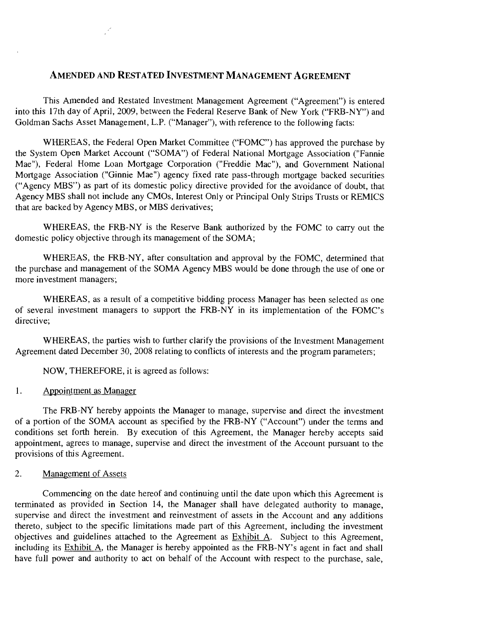# AMENDED AND RESTATED INVESTMENT MANAGEMENT AGREEMENT

This Amended and Restated Investment Management Agreement ("Agreement") is entered into this 17th day of April, 2009, between the Federal Reserve Bank of New York ("FRB-NY") and Goldman Sachs Asset Management, L.P. ("Manager"), with reference to the following facts:

WHEREAS, the Federal Open Market Committee ("FOMC") has approved the purchase by the System Open Market Account ("SOMA") of Federal National Mortgage Association ("Fannie Mae"), Federal Home Loan Mortgage Corporation ("Freddie Mac"), and Government National Mortgage Association ("Ginnie Mae") agency fixed rate pass-through mortgage backed securities ("Agency MBS") as part of its domestic policy directive provided for the avoidance of doubt, that Agency MBS shall not include any CMOs, Interest Only or Principal Only Strips Trusts or REMICS that are backed by Agency MBS, or MBS derivatives;

WHEREAS, the FRB-NY is the Reserve Bank authorized by the FOMC to carry out the domestic policy objective through its management of the SOMA;

WHEREAS, the FRB-NY, after consultation and approval by the FOMC, determined that the purchase and management of the SOMA Agency MBS would be done through the use of one or more investment managers;

WHEREAS, as a result of a competitive bidding process Manager has been selected as one of several investment managers to support the FRB-NY in its implementation of the FOMC's directive:

WHEREAS, the parties wish to further clarify the provisions of the Investment Management Agreement dated December 30, 2008 relating to conflicts of interests and the program parameters;

NOW, THEREFORE, it is agreed as follows:

 $\mathcal{L}^{\mathcal{E}}$ 

#### $\mathbf{1}$ . Appointment as Manager

The FRB-NY hereby appoints the Manager to manage, supervise and direct the investment of a portion of the SOMA account as specified by the FRB-NY ("Account") under the terms and conditions set forth herein. By execution of this Agreement, the Manager hereby accepts said appointment, agrees to manage, supervise and direct the investment of the Account pursuant to the provisions of this Agreement.

#### $\overline{2}$ . Management of Assets

Commencing on the date hereof and continuing until the date upon which this Agreement is terminated as provided in Section 14, the Manager shall have delegated authority to manage, supervise and direct the investment and reinvestment of assets in the Account and any additions thereto, subject to the specific limitations made part of this Agreement, including the investment objectives and guidelines attached to the Agreement as Exhibit A. Subject to this Agreement, including its Exhibit A, the Manager is hereby appointed as the FRB-NY's agent in fact and shall have full power and authority to act on behalf of the Account with respect to the purchase, sale,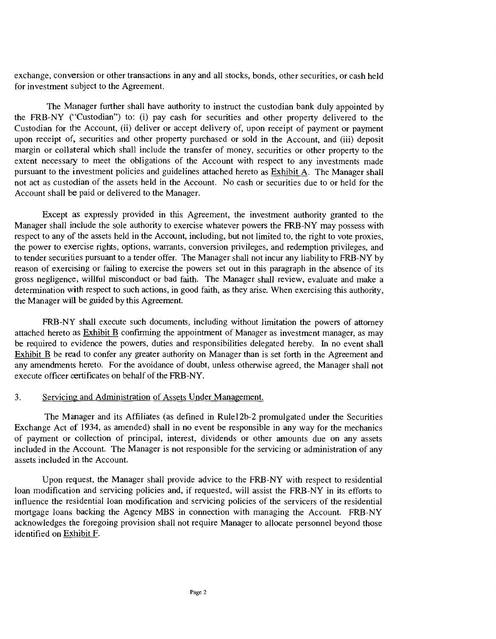exchange, conversion or other transactions in any and all stocks, bonds, other securities, or cash held for investment subject to the Agreement.

The Manager further shall have authority to instruct the custodian bank duly appointed by the FRB-NY ("Custodian") to: (i) pay cash for securities and other property delivered to the Custodian for the Account, (ii) deliver or accept delivery of, upon receipt of payment or payment upon receipt of, securities and other property purchased or sold in the Account, and (iii) deposit margin or collateral which shall include the transfer of money, securities or other property to the extent necessary to meet the obligations of the Account with respect to any investments made pursuant to the investment policies and guidelines attached hereto as Exhibit A. The Manager shall not act as custodian of the assets held in the Account. No cash or securities due to or held for the Account shall be paid or delivered to the Manager.

Except as expressly provided in this Agreement, the investment authority granted to the Manager shall include the sole authority to exercise whatever powers the FRB-NY may possess with respect to any of the assets held in the Account, including, but not limited to, the right to vote proxies, the power to exercise rights, options, warrants, conversion privileges, and redemption privileges, and to tender securities pursuant to a tender offer. The Manager shall not incur any liability to FRB-NY by reason of exercising or failing to exercise the powers set out in this paragraph in the absence of its gross negligence, willful misconduct or bad faith. The Manager shall review, evaluate and make a determination with respect to such actions, in good faith, as they arise. When exercising this authority, the Manager will be guided by this Agreement.

FRB-NY shall execute such documents, including without limitation the powers of attorney attached hereto as **Exhibit B** confirming the appointment of Manager as investment manager, as may be required to evidence the powers, duties and responsibilities delegated hereby. In no event shall Exhibit B be read to confer any greater authority on Manager than is set forth in the Agreement and any amendments hereto. For the avoidance of doubt, unless otherwise agreed, the Manager shall not execute officer certificates on behalf of the FRB-NY.

#### 3. Servicing and Administration of Assets Under Management.

The Manager and its Affiliates (as defined in Rulel2b-2 promulgated under the Securities Exchange Act of 1934, as amended) shall in no event be responsible in any way for the mechanics of payment or collection of principal, interest, dividends or other amounts due on any assets included in the Account. The Manager is not responsible for the servicing or administration of any assets included in the Account.

Upon request, the Manager shall provide advice to the FRB-NY with respect to residential loan modification and servicing policies and, if requested, will assist the FRB-NY in its efforts to influence the residential loan modification and servicing policies of the servicers of the residential mortgage loans backing the Agency MBS in connection with managing the Account. FRB-NY acknowledges the foregoing provision shall not require Manager to allocate personnel beyond those identified on Exhibit F.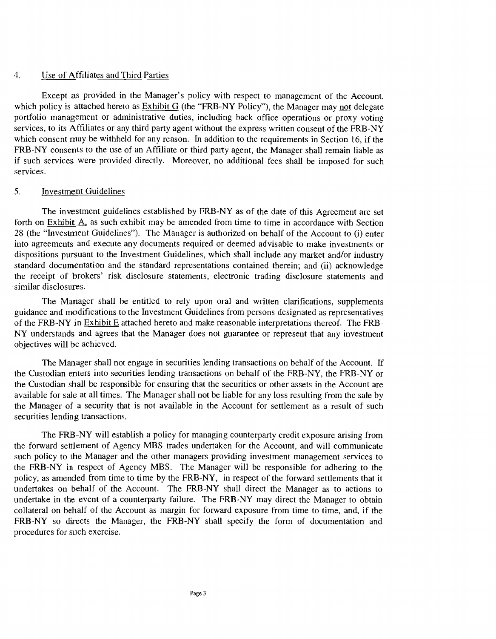#### $\overline{4}$ Use of Affiliates and Third Parties

Except as provided in the Manager's policy with respect to management of the Account, which policy is attached hereto as  $\frac{Exhibit G}{G}$  (the "FRB-NY Policy"), the Manager may not delegate portfolio management or administrative duties, including back office operations or proxy voting services, to its Affiliates or any third party agent without the express written consent of the FRB-NY which consent may be withheld for any reason. In addition to the requirements in Section 16, if the FRB-NY consents to the use of an Affiliate or third party agent, the Manager shall remain liable as if such services were provided directly. Moreover, no additional fees shall be imposed for such services.

#### $5<sub>1</sub>$ Investment Guidelines

The investment guidelines established by FRB-NY as of the date of this Agreement are set forth on Exhibit A, as such exhibit may be amended from time to time in accordance with Section 28 (the "Investment Guidelines"). The Manager is authorized on behalf of the Account to (i) enter into agreements and execute any documents required or deemed advisable to make investments or dispositions pursuant to the Investment Guidelines, which shall include any market and/or industry standard documentation and the standard representations contained therein; and (ii) acknowledge the receipt of brokers' risk disclosure statements, electronic trading disclosure statements and 'similar disclosures.

The Manager shall be entitled to rely upon oral and written clarifications, supplements guidance and modifications to the Investment Guidelines from persons designated as representatives of the FRB-NY in Exhibit E attached hereto and make reasonable interpretations thereof. The FRB-NY understands and agrees that the Manager does not guarantee or represent that any investment objectives will be achieved.

The Manager shall not engage in securities lending transactions on behalf of the Account. If the Custodian enters into securities lending transactions on behalf of the FRB-NY, the FRB-NY or the Custodian shall be responsible for ensuring that the securities or other assets in the Account are available for sale at all times. The Manager shall not be liable for any loss resulting from the saie by the Manager of a security that is not available in the Account for settlement as a result of such securities lending transactions.

The FRB-NY will establish a policy for managing counterparty credit exposure arising from the forward settlement of Agency MBS trades undertaken for the Account, and will communicate such policy to the Manager and the other managers providing investment management services to the FRB-NY in respect of Agency MBS. The Manager will be responsible for adhering to the policy, as amended from time to time by the FRB-NY, in respect of the forward settlements that it undertakes on behalf of the Account. The FRB-NY shall direct the Manager as to actions to undertake in the event of a counterparty failure. The FRB-NY may direct the Manager to obtain collateral on behalf of the Account as margin for forward exposure from time to time, and, if the FRB-NY so directs the Manager, the FRB-NY shall specify the form of documentation and procedures for such exercise.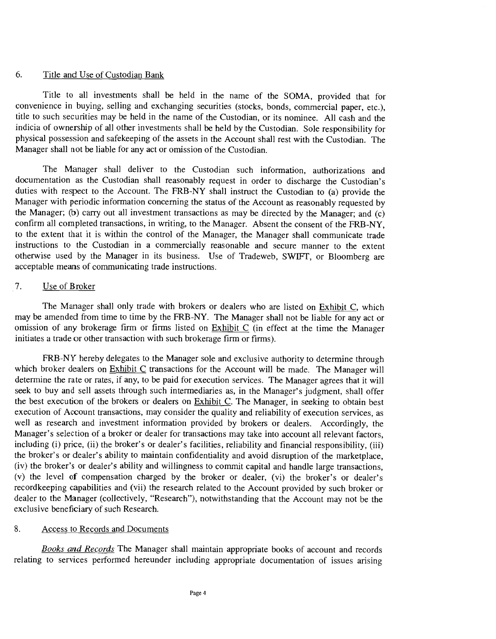#### 6. Title and Use of Custodian Bank

Title to all investments shall be held in the name of the SOMA, provided that for convenience in buying, selling and exchanging securities (stocks, bonds, commercial paper, etc.), title to such securities may be held in the name of the Custodian, or its nominee. All cash and the indicia of ownership of all other investments shall be held by the Custodian. Sole responsibility for physical possession and safekeeping of the assets in the Account shall rest with the Custodian. The Manager shall not be liable for any act or omission of the Custodian.

The Manager shall deliver to the Custodian such information, authorizations and documentation as the Custodian shall reasonably request in order to discharge the Custodian's duties with respect to the Account. The FRB-NY shall instruct the Custodian to (a) provide the Manager with periodic information concerning the status of the Account as reasonably requested by the Manager; (b) carry out all investment transactions as may be directed by the Manager; and (c) confirm all completed transactions, in writing, to the Manager. Absent the consent of the FRB-NY, to the extent that it is within the control of the Manager, the Manager shall communicate trade instructions to the Custodian in a commercially reasonable and secure manner to the extent otherwise used by the Manager in its business. Use of Tradeweb, SWIFT, or Bloomberg are acceptable means of communicating trade instructions.

#### $7.$ Use of Broker

The Manager shall only trade with brokers or dealers who are listed on Exhibit C, which may be amended from time to time by the FRB-NY. The Manager shall not be liable for any act or omission of any brokerage firm or firms listed on Exhibit C (in effect at the time the Manager initiates a trade or other transaction with such brokerage firm or firms).

FRB-NY hereby delegates to the Manager sole and exclusive authority to determine through which broker dealers on Exhibit C transactions for the Account will be made. The Manager will determine the rate or rates, if any, to be paid for execution services. The Manager agrees that it will seek to buy and sell assets through such intermediaries as, in the Manager's judgment, shall offer the best execution of the brokers or dealers on **Exhibit C**. The Manager, in seeking to obtain best execution of Account transactions, may consider the quality and reliability of execution services, as well as research and investment information provided by brokers or dealers. Accordingly, the Manager's selection of a broker or dealer for transactions may take into account all relevant factors, including (i) price, (ii) the broker's or dealer's facilities, reliability and financial responsibility, (iii) the broker's or dealer's ability to maintain confidentiality and avoid disruption of the marketplace, (iv) the broker's or dealer's ability and willingness to commit capital and handle large transactions, (y) the level of compensation charged by the broker or dealer, (vi) the broker's or dealer's recordkeeping capabilities and (vii) the research related to the Account provided by such broker or dealer to the Manager (collectively, "Research"), notwithstanding that the Account may not be the exclusive beneficiary of such Research.

#### 8. Access to Records and Documents

Books and Records The Manager shall maintain appropriate books of account and records relating to services performed hereunder including appropriate documentation of issues arising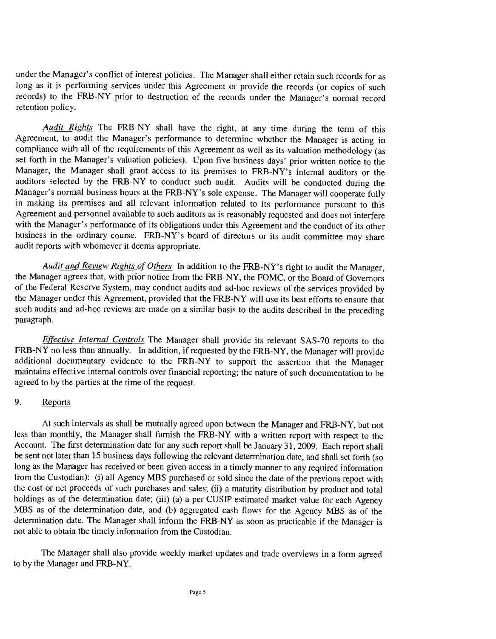under the Manager's conflict of interest policies. The Manager shall either retain such records for as long as it is performing services under this Agreement or provide the records (or copies of such records) to the FRB-NY prior to destruction of the records under the Manager's normal record retention policy.

Audit Rights The FRB-NY shall have the right, at any time during the term of this Agreement, to audit the Manager's performance to determine whether the Manager is acting in compliance with all of the requirements of this Agreement as well as its valuation methodology (as set forth in the Manager's valuation policies). Upon five business days' prior written notice to the Manager, the Manager shall grant access to its premises to FRB-NY's internal auditors or the auditors selected by the FRB-NY to conduct such audit, Audits will be conducted during the Manager's normal business hours at the FRB-NY's sole expense. The Manager will cooperate fully in making its premises and all relevant information related to its performance pursuant to this Agreement and personnel available to such auditors as is reasonably requested and does not interfere with the Manager's performance of its obligations under this Agreement and the conduct of its other business in the ordinary course. FRB-NY's board of directors or its audit committee may share audit reports with whomever it deems appropriate.

Audit and Review Rights of Others In addition to the FRB-NY's right to audit the Manager, the Manager agrees that, with prior notice from the FRB-NY, the FOMC, or the Board of Governors of the Federal Reserve System, may conduct audits and ad-hoc reviews of the services provided by the Manager under this Agreement, provided that the FRB-NY will use its best efforts to ensure that such audits and ad-hoc reviews are made on a similar basis to the audits described in the preceding paragraph.

Effective Internal Controls The Manager shall provide its relevant SAS-70 reports to the FRB-NY no less than annually. In addition, if requested by the FRB-NY, the Manager will provide additional documentary evidence to the FRB-NY to support the assertion that the Manager maintains effective internal controls over financial reporting; the nature of such documentation to be agreed to by the parties at the time of the request.

### 9. Reports

At such intervals as shall be mutually agreed upon between the Manager and FRB-NY, but not less than monthly, the Manager shall furnish the FRB-NY with a written report with respect to the Account. The first determination date for any such report shall be January 31, 2009. Each report shall be sent not later than 15 business days following the relevant determination date, and shall set forth (so long as the Manager has received or been given access in a timely manner to any required information from the Custodian): (i) all Agency MBS purchased or sold since the date of the previous report with the cost or net proceeds of such purchases and sales; (ii) a maturity distribution by product and total holdings as of the determination date; (iii) (a) a per CUSIP estimated market value for each Agency MES as of the determination date, and (b) aggregated cash flows for the Agency MBS as of the determination date. The Manager shall inform the FRB-NY as soon as practicable if the Manager is not able to obtain the timely information from the Custodian.

The Manager shall also provide weekly market updates and trade overviews in a form agreed to by the Manager and FRB-NY.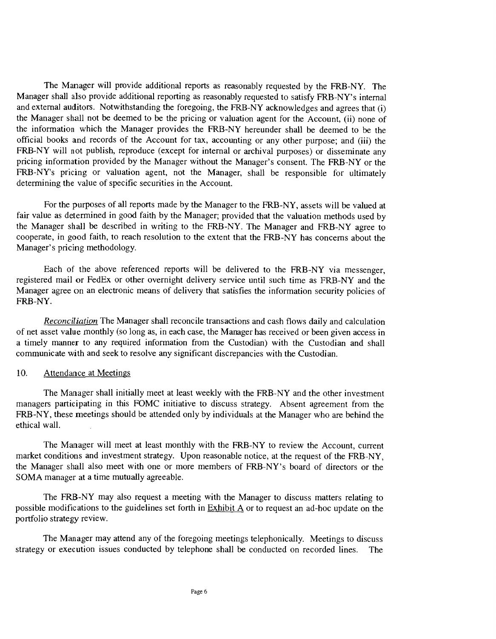The Manager will provide additional reports as reasonably requested by the FRB-NY. The Manager shall also provide additional reporting as reasonably requested to satisfy FRB-NY's internal and external auditors. Notwithstanding the foregoing, the FRB-NY acknowledges and agrees that (i) the Manager shall not be deemed to be the pricing or valuation agent for the Account, (ii) none of the information which the Manager provides the FRB-NY hereunder shall be deemed to be the official books and records of the Account for tax, accounting or any other purpose; and (iii) the FRB-NY will not publish, reproduce (except for internal or archival purposes) or disseminate any pricing information provided by the Manager without the Manager's consent. The FRB-NY or the FRB-NY's pricing or valuation agent, not the Manager, shall be responsible for ultimately determining the value of specific securities in the Account.

For the purposes of all reports made by the Manager to the FRB-NY, assets will be valued at fair value as determined in good faith by the Manager; provided that the valuation methods used by the Manager shall be described in writing to the FRB-NY. The Manager and FRB-NY agree to cooperate, in good faith, to reach resolution to the extent that the FRB-NY has concerns about the Manager's pricing methodology.

Each of the above referenced reports will be delivered to the FRB-NY via messenger, registered mail or FedEx or other overnight delivery service until such time as FRB-NY and the Manager agree on an electronic means of delivery that satisfies the information security policies of FRB-NY.

Reconciliation The Manager shall reconcile transactions and cash flows daily and calculation of net asset value monthly (so long as, in each case, the Manager has received or been given access in a timely manner to any required information from the Custodian) with the Custodian and shall communicate with and seek to resolve any significant discrepancies with the Custodian.

#### 10. Attendance at Meetings

The Manager shall initially meet at least weekly with the FRB-NY and the other investment managers participating in this FOMC initiative to discuss strategy. Absent agreement from the FRB-NY, these meetings should be attended only by individuals at the Manager who are behind the ethical wall.

The Manager will meet at least monthly with the FRB-NY to review the Account, current market conditions and investment strategy. Upon reasonable notice, at the request of the FRB-NY, the Manager shall also meet with one or more members of FRB-NY's board of directors or the SOMA manager at a time mutually agreeable.

The FRB-NY may also request a meeting with the Manager to discuss matters relating to possible modifications to the guidelines set forth in Exhibit A or to request an ad-hoc update on the portfolio strategy review.

The Manager may attend any of the foregoing meetings telephonically. Meetings to discuss strategy or execution issues conducted by telephone shall be conducted on recorded lines. The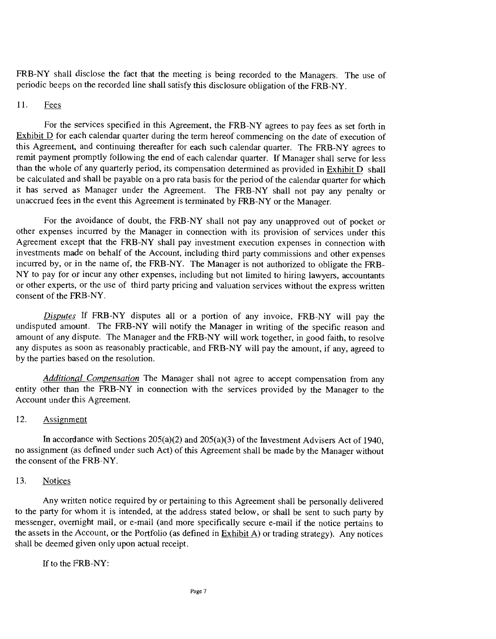FRB-NY shall disclose the fact that the meeting is being recorded to the Managers. The use of periodic beeps on the recorded line shall satisfy this disclosure obligation of the FRB-NY.

#### 11. Fees

For the services specified in this Agreement, the FRB-NY agrees to pay fees as set forth in Exhibit D for each calendar quarter during the term hereof commencing on the date of execution of this Agreement, and continuing thereafter for each such calendar quarter. The FRB-NY agrees to remit payment promptly following the end of each calendar quarter. If Manager shall serve for less than the whole of any quarterly period, its compensation determined as provided in Exhibit D shall be calculated and shall be payable on a pro rata basis for the period of the calendar quarter for which it has served as Manager under the Agreement. The FRB-NY shall not pay any penalty or unaccrued fees in the event this Agreement is terminated by FRB-NY or the Manager.

For the avoidance of doubt, the FRB-NY shall not pay any unapproved out of pocket or other expenses incurred by the Manager in connection with its provision of services under this Agreement except that the FRB-NY shall pay investment execution expenses in connection with investments made on behalf of the Account, including third party commissions and other expenses incurred by, or in the name of, the FRB-NY. The Manager is not authorized to obligate the FRB-NY to pay for or incur any other expenses, including but not limited to hiring lawyers, accountants or other experts, or the use of third party pricing and valuation services without the express written consent of the FRB-NY.

Disputes If FRB-NY disputes all or a portion of any invoice, FRB-NY will pay the undisputed amount. The FRB-NY will notify the Manager in writing of the specific reason and amount of any dispute. The Manager and the FRB-NY will work together, in good faith, to resolve any disputes as soon as reasonably practicable, and FRB-NY will pay the amount, if any, agreed to by the parties based on the resolution.

Additional Compensation The Manager shall not agree to accept compensation from any entity other than the FRB-NY in connection with the services provided by the Manager to the Account under this Agreement.

#### 12. Assignment

In accordance with Sections  $205(a)(2)$  and  $205(a)(3)$  of the Investment Advisers Act of 1940, no assignment (as defined under such Act) of this Agreement shall be made by the Manager without the consent of the FRB-NY.

#### 13. Notices

Any written notice required by or pertaining to this Agreement shall be personally delivered to the party for whom it is intended, at the address stated below, or shall be sent to such party by messenger, overnight mail, or e-mail (and more specifically secure e-mail if the notice pertains to the assets in the Account, or the Portfolio (as defined in  $Exhibit A$ ) or trading strategy). Any notices shall be deemed given only upon actual receipt.

If to the FRB-NY: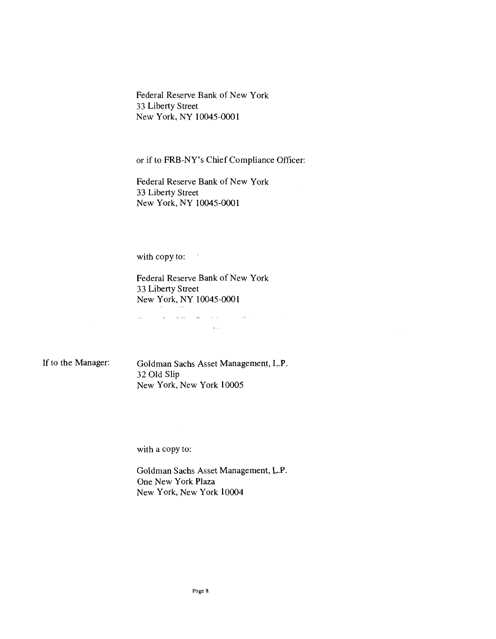Federal Reserve Bank of New York 33 Liberty Street New York, NY 10045-0001

or if to FRB-NY's Chief Compliance Officer:

Federal Reserve Bank of New York 33 Liberty Street New York, NY 10045-0001

with copy to:

Federal Reserve Bank of New York 33 Liberty Street New York, NY 10045-0001

المتحادث المتاريك المكاريب المالي

If to the Manager:

Goldman Sachs Asset Management, LP. 32 Old Slip New York, New York 10005

 $\sim 100$  km s  $^{-1}$ 

with a copy to:

 $\mathcal{L}^{\text{max}}_{\text{max}}$ 

Goldman Sachs Asset Management, L.P. One New York Plaza New York, New York 10004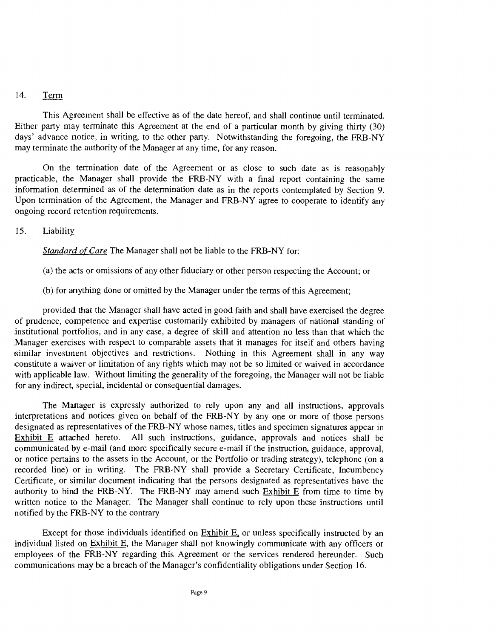#### $14.$ Term

This Agreement shall be effective as of the date hereof, and shall continue until terminated. Either party may terminate this Agreement at the end of a particular month by giving thirty (30) days' advance notice, in writing, to the other party. Notwithstanding the foregoing, the FRB-NY may terminate the authority of the Manager at any time, for any reason.

On the termination date of the Agreement or as close to such date as is reasonably practicable, the Manager shall provide the FRB-NY with a final report containing the same information determined as of the determination date as in the reports contemplated by Section 9. Upon termination of the Agreement, the Manager and FRB-NY agree to cooperate to identify any ongoing record retention requirements.

#### $15.$ Liability

Standard of Care The Manager shall not be liable to the FRB-NY for:

(a) the acts or omissions of any other fiduciary or other person respecting the Account; or

for anything done or omitted by the Manager under the terms of this Agreement;

provided that the Manager shall have acted in good faith and shall have exercised the degree of prudence, competence and expertise customarily exhibited by managers of national standing of institutional portfolios, and in any case, a degree of skill and attention no less than that which the Manager exercises with respect to comparable assets that it manages for itself and others having similar investment objectives and restrictions. Nothing in this Agreement shall in any way constitute a waiver or limitation of any rights which may not be so limited or waived in accordance with applicable law. Without limiting the generality of the foregoing, the Manager will not be liable for any indirect, special, incidental or consequential damages.

The Manager is expressly authorized to rely upon any and all instructions, approvals interpretations and notices given on behalf of the FRB-NY by any one or more of those persons designated as representatives of the FRB-NY whose names, titles and specimen signatures appear in Exhibit E attached hereto. All such instructions, guidance, approvals and notices shall be communicated by e-mail (and more specifically secure e-mail if the instruction, guidance, approval, or notice pertains to the assets in the Account, or the Portfolio or trading strategy), telephone (on a recorded line) or in writing. The FRB-NY shall provide a Secretary Certificate, Incumbency Certificate, or similar document indicating that the persons designated as representatives have the authority to bind the FRB-NY. The FRB-NY may amend such Exhibit E from time to time by written notice to the Manager. The Manager shall continue to rely upon these instructions until notified by the FRB-NY to the contrary

Except for those individuals identified on Exhibit E, or unless specifically instructed by an individual listed on Exhibit E, the Manager shall not knowingly communicate with any officers or employees of the FRB-NY regarding this Agreement or the services rendered hereunder. Such communications may be a breach of the Manager's confidentiality obligations under Section 16.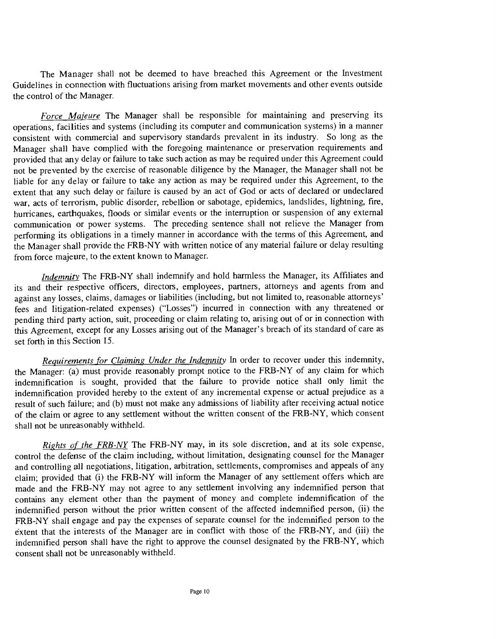The Manager shall not be deemed to have breached this Agreement or the Investment Guidelines in connection with fluctuations arising from market movements and other events outside the control of the Manager.

Force Majeure The Manager shall be responsible for maintaining and preserving its operations, facilities and systems (including its computer and communication systems) in a manner consistent with commercial and supervisory standards prevalent in its industry. So long as the Manager shall have complied with the foregoing maintenance or preservation requirements and provided that any delay or failure to take such action as may be required under this Agreement could not be prevented by the exercise of reasonable diligence by the Manager, the Manager shall not be liable for any delay or failure to take any action as may be required under this Agreement, to the extent that any such delay or failure is caused by an act of God or acts of declared or undeclared war, acts of terrorism, public disorder, rebellion or sabotage, epidemics, landslides, lightning, fire, hurricanes, earthquakes, floods or similar events or the interruption or suspension of any external communication or power systems. The preceding sentence shall not relieve the Manager from performing its obligations in a timely manner in accordance with the terms of this Agreement, and the Manager shall provide the FRB-NY with written notice of any material failure or delay resulting from force majeure, to the extent known to Manager.

Indemnity The FRB-NY shall indemnify and hold harmless the Manager, its Affiliates and its and their respective officers, directors, employees, partners, attorneys and agents from and against any losses, claims, damages or liabilities (including, but not limited to, reasonable attorneys' fees and litigation-related expenses) ("Losses") incurred in connection with any threatened or pending third party action, suit, proceeding or claim relating to, arising out of or in connection with this Agreement, except for any Losses arising out of the Manager's breach of its standard of care as set forth in this Section 15.

Requirements for Claiming Under the Indemnity In order to recover under this indemnity, the Manager: (a) must provide reasonably prompt notice to the FRB-NY of any claim for which indemnification is sought, provided that the failure to provide notice shall only limit the indemnification provided hereby to the extent of any incremental expense or actual prejudice as a result of such failure; and (b) must not make any admissions of liability after receiving actual notice of the claim or agree to any settlement without the written consent of the FRB-NY, which consent shall not be unreasonably withheld.

Rights of the FRB-NY The FRB-NY may, in its sole discretion, and at its sole expense, control the defense of the claim including, without limitation, designating counsel for the Manager and controlling all negotiations, litigation, arbitration, settlements, compromises and appeals of any claim; provided that (i) the FRB-NY will inform the Manager of any settlement offers which are made and the FRB-NY may not agree to any settlement involving any indemnified person that contains any element other than the payment of money and complete indemnification of the indemnified person without the prior written consent of the affected indemnified person, (ii) the FRB-NY shall engage and pay the expenses of separate counsel for the indemnified person to the éxtent that the interests of the Manager are in conflict with those of the FRB-NY, and (iii) the indemnified person shall have the right to approve the counsel designated by the FRB-NY, which consent shall not be unreasonably withheld.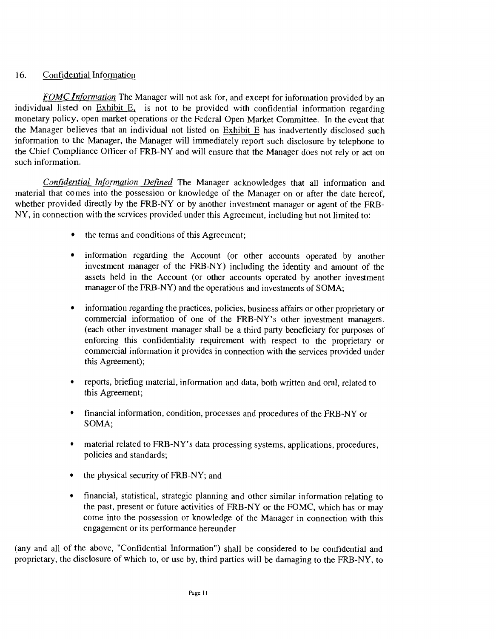### 16. Confidential Information

FOMC Information The Manager will not ask for, and except for information provided by an individual listed on Exhibit E, is not to be provided with confidential information regarding monetary policy, open market operations or the Federal Open Market Committee. In the event that the Manager believes that an individual not listed on Exhibit E has inadvertently disclosed such information to the Manager, the Manager will immediately report such disclosure by telephone to the Chief Compliance Officer of FRB-NY and will ensure that the Manager does not rely or act on such information.

Confidential Information Defined The Manager acknowledges that all information and material that comes into the possession or knowledge of the Manager on or after the date hereof, whether provided directly by the FRB-NY or by another investment manager or agent of the FRB-NY, in connection with the services provided under this Agreement, including but not limited to:

- the terms and conditions of this Agreement;
- information regarding the Account (or other accounts operated by another  $\bullet$ investment manager of the FRB-NY) including the identity and amount of the assets held in the Account (or other accounts operated by another investment manager of the FRB-NY) and the operations and investments of SOMA;
- $\bullet$ information regarding the practices, policies, business affairs or other pnprietary or commercial information of one of the FRB-NY's other investment managers. (each other investment manager shall be a third party beneficiary for purposes of enforcing this confidentiality requirement with respect to the proprietary or commercial information it provides in connection with the services provided under this Agreement);
- reports, briefing material, information and data, both written and oral, related to  $\bullet$ this Agreement;
- $\bullet$ financial information, condition, processes and procedures of the FRB-NY or SOMA;
- material related to FRB-NY's data processing systems, applications, procedures,  $\bullet$ policies and standards;
- $\bullet$ the physical security of FRB-NY; and
- financial, statistical, strategic planning and other similar information relating to  $\bullet$ the past, present or future activities of FRB-NY or the FOMC, which has or may come into the possession or knowledge of the Manager in connection with this engagement or its performance hereunder

(any and all of the above, "Confidential Information") shall be considered to be confidential and proprietary, the disclosure of which to, or use by, third parties will be damaging to the FRB-NY, to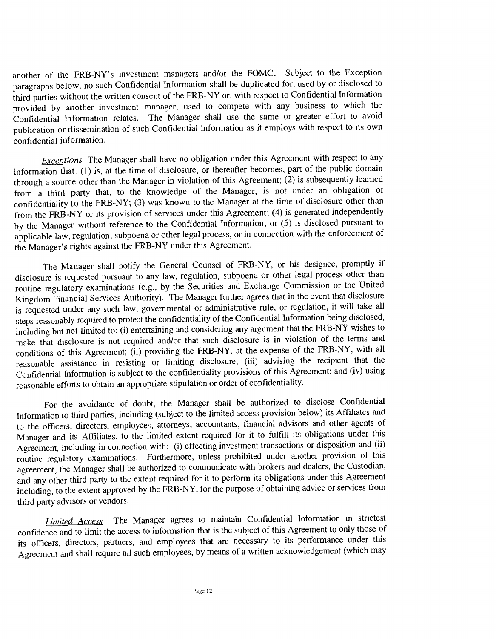another of the FRB-NY's investment managers and/or the FOMC. Subject to the Exception paragraphs below, no such Confidential Information shall be duplicated for, used by or disclosed to third parties without the written consent of the FRB-NY or, with respect to Confidential Information provided by another investment manager, used to compete with any business to which the Confidential Information relates. The Manager shall use the same or greater effort to avoid publication or dissemination of such Confidential Information as it employs with respect to its own confidential information.

Exceptions The Manager shall have no obligation under this Agreement with respect to any information that: (J) is, at the time of disclosure, or thereafter becomes, part of the public domain through a source other than the Manager in violation of this Agreement; (2) is subsequently learned from a third party that, to the knowledge of the Manager, is not under an obligation of confidentiality to the FRB-NY; (3) was known to the Manager at the time of disclosure other than from the FRB-NY or its provision of services under this Agreement; (4) is generated independently by the Manager without reference to the Confidential Information; or (5) is disclosed pursuant to applicable law, regulation, subpoena or other legal process, or in connection with the enforcement of the Manager's rights against the FRB-NY under this Agreement.

The Manager shall notify the General Counsel of FRB-NY, or his designee, promptly if disclosure is requested pursuant to any law, regulation, subpoena or other legal process other than routine regulatory examinations (e.g., by the Securities and Exchange Commission or the United Kingdom Financial Services Authority). The Manager further agrees that in the event that disclosure is requested under any such law, governmental or administrative rule, or regulation, it will take all steps reasonably required to protect the confidentiality of the Confidential Information being disclosed, including but not limited to: (i) entertaining and considering any argument that the FRB-NY wishes to make that disclosure is not required and/or that such disclosure is in violation of the terms and conditions of this Agreement; (ii) providing the FRB-NY, at the expense of the FRB-NY, with all reasonable assistance in resisting or limiting disclosure; (iii) advising the recipient that the Confidential Information is subject to the confidentiality provisions of this Agreement; and (iv) using reasonable efforts to obtain an appropriate stipulation or order of confidentiality.

For the avoidance of doubt, the Manager shall be authorized to disclose Confidential Information to third parties, including (subject to the limited access provision below) its Affiliates and to the officers, directors, employees, attorneys, accountants, financial advisors and other agents of Manager and its Affiliates, to the limited extent required for it to fulfill its obligations under this Agreement, including in connection with: (i) effecting investment transactions or disposition and (ii) routine regulatory examinations. Furthermore, unless prohibited under another provision of this agreement, the Manager shall be authorized to communicate with brokers and dealers, the Custodian, and any otber third party to the extent required for it to perform its obligations under this Agreement including, to the extent approved by the FRB-NY, for the purpose of obtaining advice or services from third party advisors or vendors.

Limited Access The Manager agrees to maintain Confidential Information in strictest confidence and to limit the access to information that is the subject of this Agreement to only those of its officers, directors, partners, and employees that are necessary to its performance under this Agreement and shall require all such employees, by means of a written acknowledgement (which may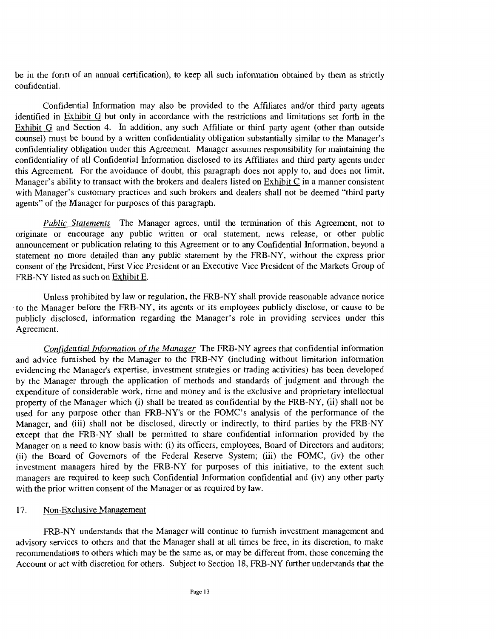be in the form of an annual certification), to keep all such information obtained by them as strictly confidential.

Confidential Information may also be provided to the Affiliates and/or third party agents identified in Fxhibit G but only in accordance with the restrictions and limitations set forth in the Exhibit G and Section 4. In addition, any such Affiliate or third party agent (other than outside counsel) must be bound by a written confidentiality obligation substantially similar to the Manager's confidentiality obligation under this Agreement. Manager assumes responsibility for maintaining the confidentiality of all Confidential Information disclosed to its Affiliates and third party agents under this Agreement For the avoidance of doubt, this paragraph does not apply to, and does not limit, Manager's ability to transact with the brokers and dealers listed on Exhibit C in a manner consistent with Manager's customary practices and such brokers and dealers shall not be deemed "third party agents" of the Manager for purposes of this paragraph.

Public Statements The Manager agrees, until the termination of this Agreement, not to originate or encourage any public written or oral statement, news release, or other public announcement or publication relating to this Agreement or to any Confidential Information, beyond a statement no more detailed than any public statement by the FRB-NY, without the express prior consent of the President, First Vice President or an Executive Vice President of the Markets Group of FRB-NY listed as such on Exhibit E.

Unless prohibited by law or regulation, the FRB-NY shall provide reasonable advance notice to the Manager before the FRB-NY, its agents or its employees publicly disclose, or cause to be publicly disclosed, information regarding the Manager's role in providing services under this Agreement.

Confidential Information of the Manager The FRB-NY agrees that confidential information and advice furnished by the Manager to the FRB-NY (including without limitation information evidencing the Manager's expertise, investment strategies or trading activities) has been developed by the Manager through the application of methods and standards of judgment and through the expenditure of considerable work, time and money and is the exclusive and proprietary intellectual property of the Manager which (i) shall be treated as confidential by the FRB-NY, (ii) shall not be used for any purpose other than FRB-NY's or the FOMC's analysis of the performance of the Manager, and (iii) shall not be disclosed, directly or indirectly, to third parties by the FRB-NY except that the FRB-NY shall be permitted to share confidential information provided by the Manager on a need to know basis with: (i) its officers, employees, Board of Directors and auditors; (ii) the Board of Governors of the Federal Reserve System; (iii) the FOMC, (iv) the other investment managers hired by the FRB-NY for purposes of this initiative, to the extent such managers are required to keep such Confidential Information confidential and (iv) any other party with the prior written consent of the Manager or as required by law.

#### 17. Non-Exclusive Management

FRB-NY understands that the Manager will continue to furnish investment management and advisory services to others and that the Manager shall at all times be free, in its discretion, to make recommendations to others which may be the same as, or may be different from, those concerning the Account or act with discretion for others. Subject to Section 18, FRB-NY further understands that the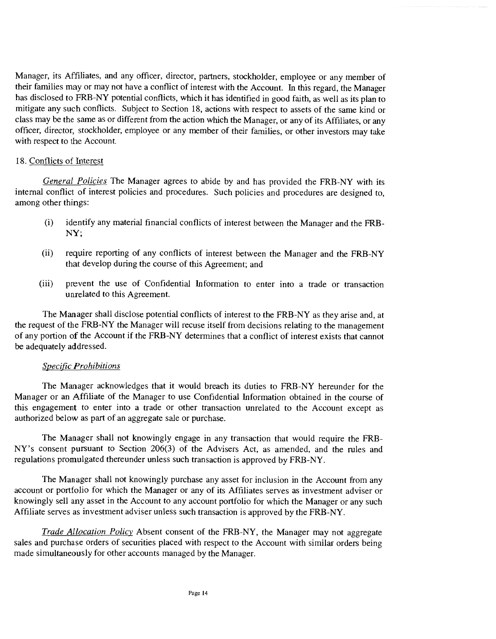Manager, its Affiliates, and any officer, director, partners, stockholder, employee or any member of their families may or may not have a conflict of interest with the Account. In this regard, the Manager has disclosed to FRB-NY potential conflicts, which it has identified in good faith, as well as its plan to mitigate any such conflicts. Subject to Section 18, actions with respect to assets of the same kind or class may be the same as or diffeint from the action which the Manager, or any of its Affiliates, or any officer, director, stockholder, employee or any member of their families, or other investors may take with respect to the Account.

### 18. Conflicts of Interest

General Policies The Manager agrees to abide by and has provided the FRB-NY with its internal conflict of interest policies and procedures. Such policies and procedures are designed to, among other things:

- identify any material financial conflicts of interest between the Manager and the FRB- $(i)$ NY;
- require reporting of any conflicts of interest between the Manager and the FRB-NY  $(ii)$ that develop during the course of this Agreement; and
- $(iii)$ prevent the use of Confidential Information to enter into a trade or transaction unrelated to this Agreement.

The Manager shall disclose potential conflicts of interest to the FRB-NY as they arise and, at the request of the FRB-NY the Manager will recuse itself from decisions relating to the management of any portion of the Account if the FRB-NY determines that a conflict of interest exists that cannot be adequately addressed.

### Specific Prohibitions

The Manager acknowledges that it would breach its duties to FRB-NY hereunder for the Manager or an Affiliate of the Manager to use Confidential Information obtained in the course of this engagement to enter into a trade or other transaction unrelated to the Account except as authorized below as part of an aggregate sale or purchase.

The Manager shall not knowingly engage in any transaction that would require the FRB-NY's consent pursuant to Section 206(3) of the Advisers Act, as amended, and the rules and regulations promulgated thereunder unless such transaction is approved by FRB-NY.

The Manager shall not knowingly purchase any asset for inclusion in the Account from any account or portfolio for which the Manager or any of its Affiliates serves as investment adviser or knowingly sell any asset in the Account to any account portfolio for which the Manager or any such Affiliate serves as investment adviser unless such transaction is approved by the FRB-NY.

Trade Allocation Policy Absent consent of the FRB-NY, the Manager may not aggregate sales and purchase orders of securities placed with respect to the Account with similar orders being made simultaneously for other accounts managed by the Manager.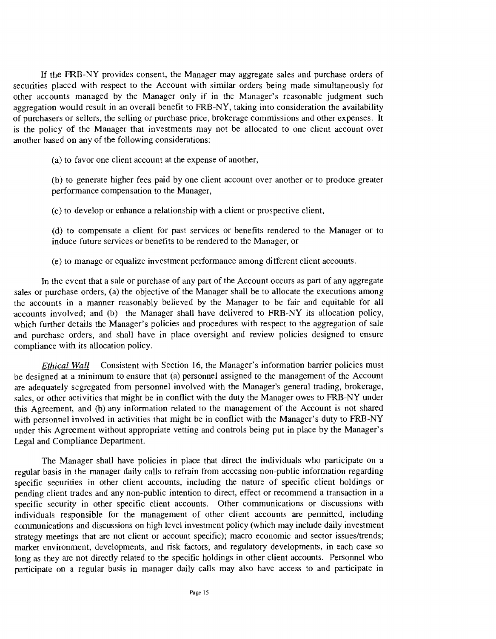If the FRB-NY provides consent, the Manager may aggregate sales and purchase orders of securities placed with respect to the Account with similar orders being made simultaneously for other accounts managed by the Manager only if in the Manager's reasonable judgment such aggregation would result in an overall benefit to FRB-NY, taking into consideration the availability of purchasers or sellers, the selling or purchase price, brokerage commissions and other expenses. It is the policy of the Manager that investments may not be allocated to one client account over another based on any of the following considerations:

 $(a)$  to favor one client account at the expense of another,

(b) to generate higher fees paid by one client account over another or to produce greater performance compensation to the Manager,

(e) to develop or enhance a relationship with a client or prospective client,

(d) to compensate a client for past services or benefits rendered to the Manager or to induce future services or benefits to be rendered to the Manager, or

to manage or equalize investment performance among different client accounts.

In the event that a sale or purchase of any part of the Account occurs as part of any aggregate sales or purchase orders, (a) the objective of the Manager shall be to allocate the executions among the accounts in a manner reasonably believed by the Manager to be fair and equitable for all accounts involved; and (b) the Manager shall have delivered to FRB-NY its allocation policy, which further details the Manager's policies and procedures with respect to the aggregation of sale and purchase orders, and shall have in place oversight and review policies designed to ensure compliance with its allocation policy.

Ethical Wall Consistent with Section 16, the Manager's information barrier policies must be designed at a minimum to ensure that (a) personnel assigned to the management of the Account are adequately segregated from personnel involved with the Manager's general trading, brokerage, sales, or other activities that might be in conflict with the duty the Manager owes to FRB-NY under this Agreement, and (b) any information related to the management of the Account is not shared with personnel involved in activities that might be in conflict with the Manager's duty to FRB-NY under this Agreement without appropriate vetting and controls being put in place by the Manager's Legal and Compliance Department.

The Manager shall have policies in place that direct the individuals who participate on a regular basis in the manager daily calls to refrain from accessing non-public information regarding specific securities in other client accounts, including the nature of specific client holdings or pending client trades and any non-public intention to direct, effect or recommend a transaction in a specific security in other specific client accounts. Other communications or discussions with individuals responsible for the management of other client accounts are permitted, including communications and discussions on high level investment policy (which may include daily investment strategy meetings that are not client or account specific); macro economic and sector issues/trends; market environment, developments, and risk factors; and regulatory developments, in each case so long as they are not directly related to the specific holdings in other client accounts. Personnel who participate on a regular basis in manager daily calls may also have access to and participate in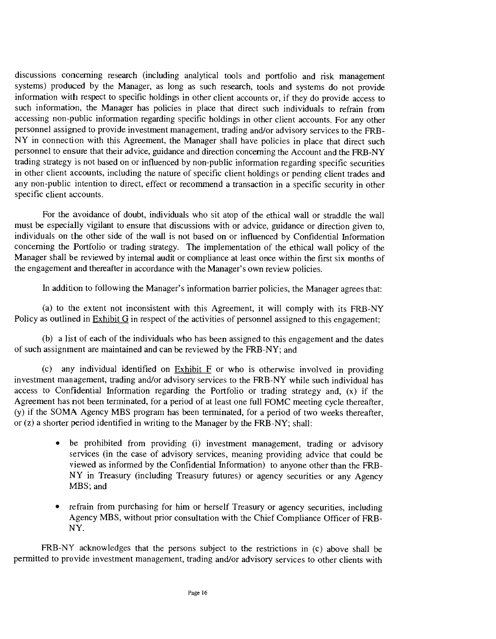discussions concerning research (including analytical tools and portfolio and risk management systems) produced by the Manager, as long as such research, tools and systems do not provide information with respect to specific holdings in other client accounts or, if they do provide access to such information, the Manager has policies in place that direct such individuals to refrain from accessing non-public information regarding specific holdings in other client accounts. For any other personnel assigned to provide investment management, trading and/or advisory services to the FRB-NY in connection with this Agreement, the Manager shall have policies in place that direct such personnel to ensure that their advice, guidance and direction concerning the Account and the FRB-NY trading strategy is not based on or influenced by non-public information regarding specific securities in other client accounts, including the nature of specific client holdings or pending client trades and any non-public intention to direct, effect or recommend a transaction in a specific security in other specific client accounts.

For the avoidance of doubt, individuals who sit atop of the ethical wall or straddle the wall must be especially vigilant to ensure that discussions with or advice, guidance or direction given to, individuals on the other side of the wall is not based on or influenced by Confidential Information concerning the Portfolio or trading strategy. The implementation of the ethical wall policy of the Manager shall be reviewed by internal audit or compliance at least once within the first six months of the engagement and thereafter in accordance with the Manager's own review policies.

In addition to following the Manager's information barrier policies, the Manager agrees that:

(a) to the extent not inconsistent with this Agreement, it will comply with its  $FRB-NY$ Policy as outlined in Exhibit G in respect of the activities of personnel assigned to this engagement;

a list of each of the individuals who has been assigned to this engagement and the dates of such assignment are maintained and can be reviewed by the FRB-NY; and

 $\alpha$  any individual identified on Exhibit F or who is otherwise involved in providing investment management, trading and/or advisory services to the FRB-NY while such individual has access to Confidential Information regarding the Portfolio or trading strategy and, (x) if the Agreement has not been terminated, for a period of at least one full FOMC meeting cycle thereafter, (y) if the SOMA Agency MBS program has been terminated, for a period of two weeks thereafter, or  $(z)$  a shorter period identified in writing to the Manager by the FRB-NY; shall:

- be prohibited from providing (i) investment management, trading or advisory  $\bullet$ services (in the case of advisory services, meaning providing advice that could be viewed as informed by the Confidential Information) to anyone other than the FRB-NY in Treasury (including Treasury futures) or agency securities or any Agency MBS; and
- refrain from purchasing for him or herself Treasury or agency securities, including Agency MBS, without prior consultation with the Chief Compliance Officer of FRB-NY.

FRB-NY acknowledges that the persons subject to the restrictions in (c) above shall be permitted to provide investment management, trading and/or advisory services to other clients with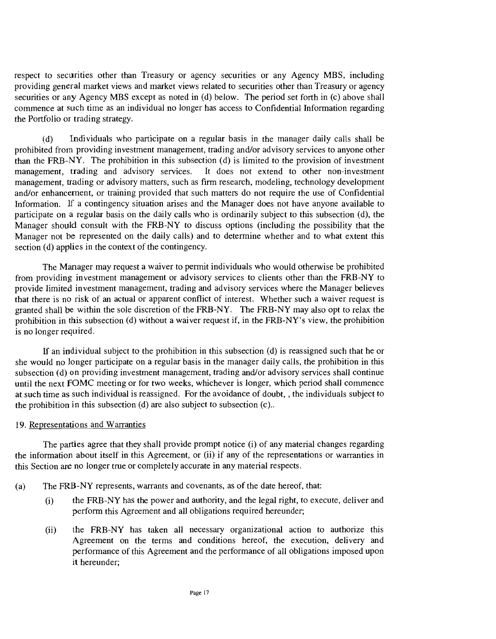respect to securities other than Treasury or agency securities or any Agency MBS, including providing general market views and market views related to securities other than Treasury or agency securities or any Agency MBS except as noted in (d) below. The period set forth in (c) above shall commence at such time as an individual no longer has access to Confidential Information regarding the Portfolio or trading strategy.

(d) Individuals who participate on a regular basis in the manager daily calls shall be prohibited from providing investment management, trading and/or advisory services to anyone other than the FRB-NY. The prohibition in this subsection (d) is limited to the provision of investment management, trading and advisory services. It does not extend to other non-investment management, trading or advisory matters, such as firm research, modeling, technology development and/or enhancement, or training provided that such matters do not require the use of Confidential Information. If a contingency situation arises and the Manager does not have anyone available to participate on a regular basis on the daily calls who is ordinarily subject to this subsection (d), the Manager should consult with the FRB-NY to discuss options (including the possibility that the Manager not be represented on the daily calls) and to determine whether and to what extent this section (d) applies in the context of the contingency.

The Manager may request a waiver to permit individuals who would otherwise be prohibited from providing investment management or advisory services to clients other than the FRB-NY to provide limited investment management, trading and advisory services where the Manager believes that there is no risk of an actual or apparent conflict of interest. Whether such a waiver request is granted shall be within the sole discretion of the FRB-NY. The FRB-NY may also opt to relax the prohibition in this subsection (d) without a waiver request if, in the FRB-NY's view, the prohibition is no longer required.

If an individual subject to the prohibition in this subsection (d) is reassigned such that he or she would no longer participate on a regular basis in the manager daily calls, the prohibition in this subsection (d) on providing investment management, trading and/or advisory services shall continue until the next FOMC meeting or for two weeks, whichever is longer, which period shall commence at such time as such individual is reassigned. For the avoidance of doubt, , the individuals subject to the prohibition in this subsection (d) are also subject to subsection (c)..

#### 19. Representations and Warranties

The parties agree that they shall provide prompt notice (i) of any material changes regarding the information about itself in this Agreement, or (ii) if any of the representations or warranties in this Section are no longer true or completely accurate in any material respects.

### (a) The FRB-NY represents, warrants and covenants, as of the date hereof, that:

- the FRB-NY has the power and authority, and the legal right, to execute, deliver and  $(i)$ perform this Agreement and all obligations required hereunder;
- $(ii)$ the FRB-NY has taken all necessary organizational action to authorize this Agreement on the terms and conditions hereof, the execution, delivery and performance of this Agreement and the performance of all obligations imposed upon it hereunder;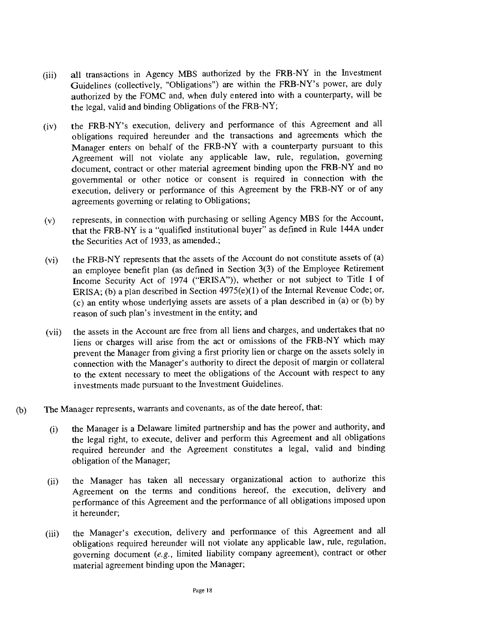- all transactions in Agency MBS authorized by the FRB-NY in the Investment  $(iii)$ Guidelines (collectively, 'Obligations") are within the FRB-NY's power, are duly authorized by the FOMC and, when duly entered into with a counterparty, will be the legal, valid and binding Obligations of the FRB-NY;
- the FRB-NY's execution, delivery and performance of this Agreement and all  $(iv)$ obligations required hereunder and the transactions and agreements which the Manager enters on behalf of the FRB-NY with a counterparty pursuant to this Agreement will not violate any applicable law, rule, regulation, governing document, contract or other material agreement binding upon the FRB-NY and no governmental or other notice or consent is required in connection with the execution, delivery or performance of this Agreement by the FRB-NY or of any agreements governing or relating to Obligations;
- (y) represents, in connection with purchasing or selling Agency MBS for the Account, that the FRB-NY is a "qualified institutional buyer" as defined in Rule 144A under the Securities Act of 1933, as amended.;
- the FRB-NY represents that the assets of the Account do not constitute assets of (a)  $(vi)$ an employee benefit plan (as defined in Section 3(3) of the Employee Retirement Income Security Act of 1974 ("ERISA")), whether or not subject to Title I of ERISA; (b) a plan described in Section 4975(e)(1) of the Internal Revenue Code; or, (e) an entity whose underlying assets are assets of a plan described in (a) or (b) by reason of such plan's investment in the entity; and
- the assets in the Account are free from all liens and charges, and undertakes that no  $(vii)$ liens or charges will arise from the act or omissions of the FRB-NY which may prevent the Manager from giving a first priority lien or charge on the assets solely in connection with the Manager's authority to direct the deposit of margin or collateral to the extent necessary to meet the obligations of the Account with respect to any investments made pursuant to the Investment Guidelines.
- (b) The Manager represents, warrants and covenants, as of the date hereof, that:
	- (i) the Manager is a Delaware limited partnership and has the power and authority, and the legal right, to execute, deliver and perform this Agreement and all obligations required hereunder and the Agreement constitutes a legal, valid and binding obligation of the Manager;
	- the Manager has taken all necessary organizational action to authorize this  $(ii)$ Agreement on the terms and conditions hereof, the execution, delivery and performance of this Agreement and the performance of all obligations imposed upon it hereunder;
	- the Manager's execution, delivery and performance of this Agreement and all  $(iii)$ obligations required hereunder will not violate any applicable law, rule, regulation, governing document (e.g., limited liability company agreement), contract or other material agreement binding upon the Manager;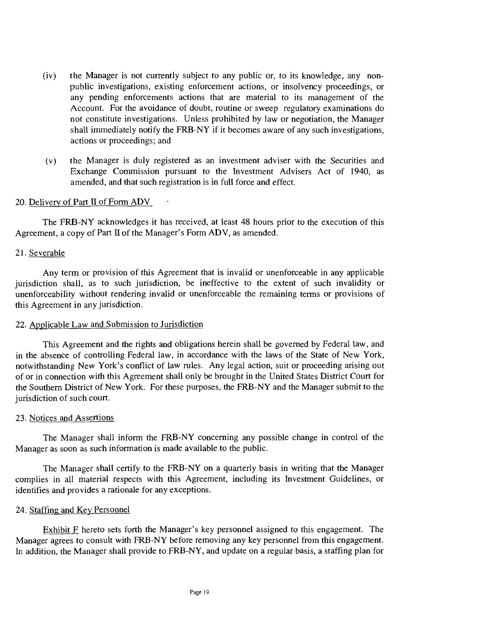- (iv) the Manager is not currently subject to any public or, to its knowledge, any nonpublic investigations, existing enforcement actions, or insolvency proceedings, or any pending enforcements actions that are material to its management of the Account. For the avoidance of doubt, routine or sweep regulatory examinations do not constitute investigations. Unless prohibited by law or negotiation, the Manager shall immediately notify the FRB-NY if it becomes aware of any such investigations, actions or proceedings; and
- (y) the Manager is duly registered as an investment adviser with the Securities and Exchange Commission pursuant to the Investment Advisers Act of 1940, as amended, and that such registration is in full force and effect.

### 20. Delivery of Part II of Form ADV

The FRB-NY acknowledges it has received, at least 48 hours prior to the execution of this Agreement, a copy of Part II of the Manager's Form ADV, as amended.

#### 21. Severable

Any term or provision of this Agreement that is invalid or unenforceable in any applicable jurisdiction shall, as to such jurisdiction, be ineffective to the extent of such invalidity or unenforceability without rendering invalid or unenforceable the remaining terms or provisions of this Agreement in any jurisdiction.

#### 22. Applicable Law and Submission to Jurisdiction

This Agreement and the rights and obligations herein shall be governed by Federal law, and in the absence of controlling Federal law, in accordance with the laws of the State of New York, notwithstanding New York's conflict of law rules. Any legal action, suit or proceeding arising out of or in connection with this Agreement shall only be brought in the United States District Court for the Southern District of New York. For these purposes, the FRB-NY and the Manager submit to the jurisdiction of such court.

### 23. Notices and Assertions

The Manager shall inform the FRB-NY concerning any possible change in control of the Manager as soon as such information is made available to the public.

The Manager shall certify to the FRB-NY on a quarterly basis in writing that the Manager complies in all material respects with this Agreement, including its Investment Guidelines, or identifies and provides a rationale for any exceptions.

### 24. Staffing and Key Personnel

Exhibit F hereto sets forth the Manager's key personnel assigned to this engagement. The Manager agrees to consult with FRB-NY before removing any key personnel from this engagement. In addition, the Manager shall provide to FRB-NY, and update on a regular basis, a staffing plan for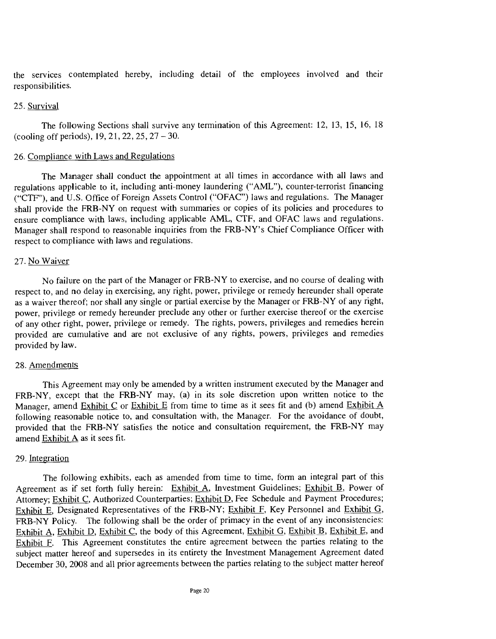the services contemplated hereby, including detail of the employees involved and their responsibilities.

#### 25. Survival

The following Sections shall survive any termination of this Agreement: 12, 13, 15, 16, 18 (cooling off periods), 19, 21, 22, 25, 27 - 30.

#### 26. Compliance with Laws and Regulations

The Manager shall conduct the appointment at all times in accordance with all laws and regulations applicable to it, including anti-money laundering ("AML"), counter-terrorist financing ("CTF"), and U.S. Office of Foreign Assets Control ("OFAC") laws and regulations. The Manager shall provide the FRB-NY on request with summaries or copies of its policies and procedures to ensure compliance with laws, including applicable AML, CTF, and OFAC laws and regulations. Manager shall respond to reasonable inquiries from the FRB-NY's Chief Compliance Officer with respect to compliance with laws and regulations.

#### 27. No Waiver

No failure on the part of the Manager or FRB-NY to exercise, and no course of dealing with respect to, and no delay in exercising, any right, power, privilege or remedy hereunder shall operate as a waiver thereof; nor shall any single or partial exercise by the Manager or FRB-NY of any right, power, privilege or remedy hereunder preclude any other or further exercise thereof or the exercise of any other right, power, privilege or remedy. The rights, powers, privileges and remedies herein provided are cumulative and are not exclusive of any rights, powers, privileges and remedies provided by law.

#### 28. Amendments

This Agreement may only be amended by a written instrument executed by the Manager and FRB-NY, except that the FRB-NY may, (a) in its sole discretion upon written notice to the Manager, amend Exhibit C or Exhibit E from time to time as it sees fit and (b) amend Exhibit A following reasonable notice to, and consultation with, the Manager. For the avoidance of doubt, provided that the FRB-NY satisfies the notice and consultation requirement, the FRB-NY may amend Exhibit A as it sees fit.

#### 29. Integration

The following exhibits, each as amended from time to time, form an integral part of this Agreement as if set forth fully herein: Exhibit A, Investment Guidelines; Exhibit B, Power of Attorney; Exhibit C, Authorized Counterparties; Exhibit D, Fee Schedule and Payment Procedures; Exhibit E, Designated Representatives of the FRB-NY; Exhibit F, Key Personnel and Exhibit G, FRB-NY Policy. The following shall be the order of primacy in the event of any inconsistencies: Exhibit A, Exhibit D, Exhibit C, the body of this Agreement, Exhibit G, Exhibit B, Exhibit E, and Exhibit F. This Agreement constitutes the entire agreement between the parties relating to the subject matter hereof and supersedes in its entirety the Investment Management Agreement dated December 30, 2008 and all prior agreements between the parties relating to the subject matter hereof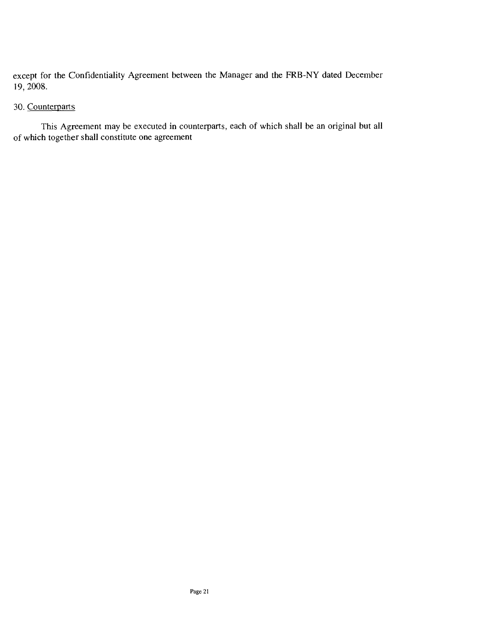except for the Confidentiality Agreement between the Manager and the FRB-NY dated December 19, 2008.

### 30. Counterparts

This Agreement may be executed in counterparts, each of which shall be an original but all of which together shall constitute one agreement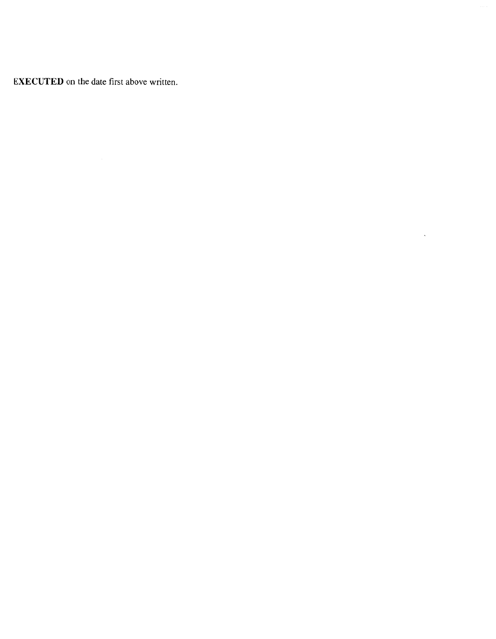EXECUTED on the date first above written.

 $\sim 10^7$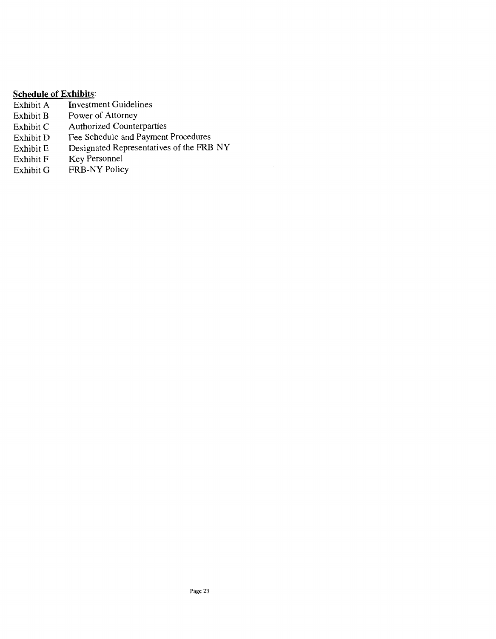# **Schedule of Exhibits:**<br>Exhibit A Investm

- Exhibit A Investment Guidelines<br>Exhibit B Power of Attorney
- Power of Attorney
- Exhibit C Authorized Counterparties<br>Exhibit D Fee Schedule and Payment
- Exhibit D Fee Schedule and Payment Procedures<br>Exhibit E Designated Representatives of the FRB
- Exhibit E Designated Representatives of the FRB-NY<br>Exhibit F Key Personnel
- Exhibit F Key Personnel<br>Exhibit G FRB-NY Polic
- FRB-NY Policy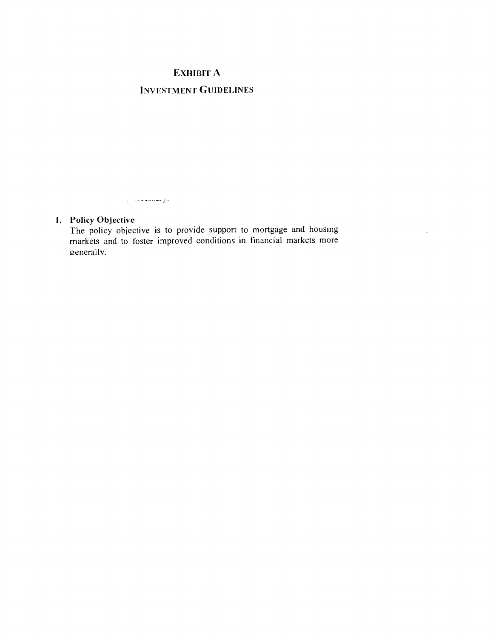# EXHIBIT A INVESTMENT GUIDELINES

### I. Policy Objective

الرعماناليست. ان

The policy objective is to provide support to mortgage and housing markets and to foster improved conditions in financial markets more eneral1v,

 $\mathcal{L}^{\pm}$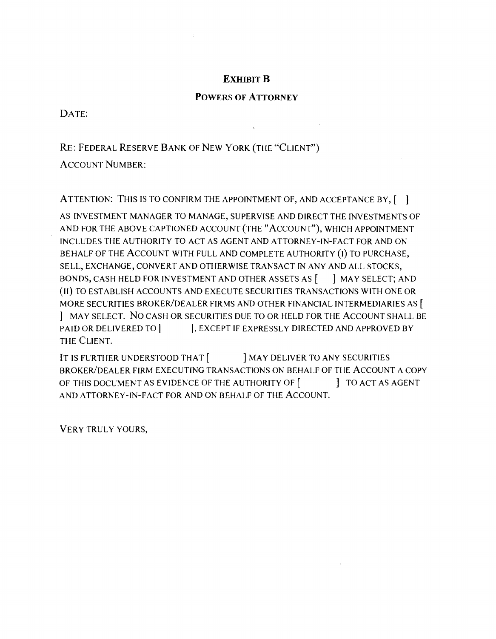# ExHIBIT B

### POWERS OF ATTORNEY

DATE:

RE: FEDERAL RESERVE BANK OF NEW YORK (THE "CLIENT")

ACCOUNT NUMBER:

ATTENTION: THIS IS TO CONFIRM THE APPOINTMENT OF, AND ACCEPTANCE BY, [12]

AS INVESTMENT MANAGER TO MANAGE, SUPERVISE AND DIRECT THE INVESTMENTS OF AND FOR THE ABOVE CAPTIONED ACCOUNT (THE "ACCOUNT"), WHICH APPOINTMENT INCLUDES THE AUTHORITY TO ACT AS AGENT AND ATTORNEY-IN-FACT FOR AND ON BEHALF OF THE ACCOUNT WITH FULL AND COMPLETE AUTHORITY (I) TO PURCHASE, SELL, EXCHANGE, CONVERT AND OTHERWISE TRANSACT IN ANY AND ALL STOCKS, BONDS, CASH HELD FOR INVESTMENT AND OTHER ASSETS AS [ ] MAY SELECT; AND (II) TO ESTABLISH ACCOUNTS AND EXECUTE SECURITIES TRANSACTIONS WITH ONE OR MORE SECURITIES BROKER/DEALER FIRMS AND OTHER FINANCIAL INTERMEDIARIES AS [ j MAY SELECT. No CASH OR SECURITIES DUE TO OR HELD FOR THE ACCOUNT SHALL BE PAID OR DELIVERED TO  $[$  ], EXCEPT IF EXPRESSLY DIRECTED AND APPROVED BY THE CLIENT.

IT IS FURTHER UNDERSTOOD THAT [ ] MAY DELIVER TO ANY SECURITIES BROKER/DEALER FIRM EXECUTING TRANSACTIONS ON BEHALF OF THE ACCOUNT A COPY OF THIS DOCUMENT AS EVIDENCE OF THE AUTHORITY OF [  $\qquad$  ] TO ACT AS AGENT AND ATTORNEY-IN-FACT FOR AND ON BEHALF OF THE ACCOUNT.

VERY TRULY YOURS,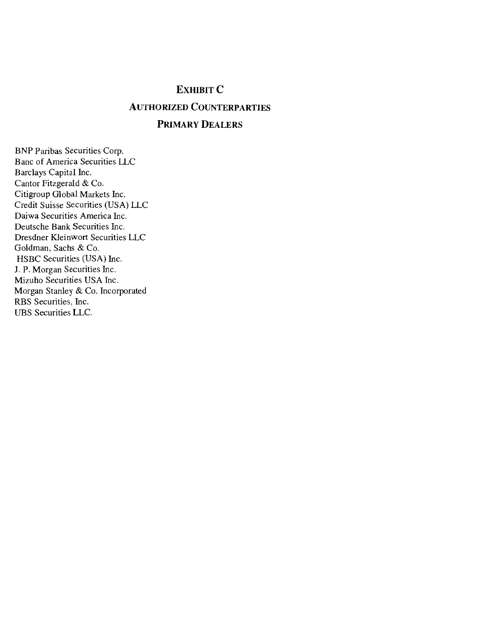# EXHIBIT C

# **AUTHORIZED COUNTERPARTIES**

### PRIMARY DEALERS

BNP Paribas Securities Corp. Banc of America Securities LLC Barclays Capital Inc. Cantor Fitzgerald & Co. Citigroup Global Markets Inc. Credit Suisse Securities (USA) LLC Daiwa Securities America Inc. Deutsche Bank Securities Inc. Dresdner Kleinwort Securities LLC Goldman, Sachs & Co. HSBC Securities (USA) Inc. J. P. Morgan Securities Inc. Mizuho Securities USA Inc. Morgan Stanley & Co. Incorporated RBS Securities, Inc. UBS Securities LLC.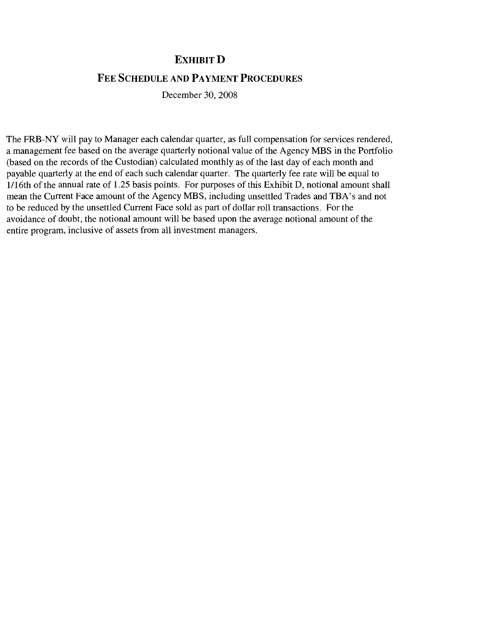# **EXHIBIT D**

# FEE SCHEDULE AND PAYMENT PROCEDURES

December 30, 2008

The FRB-NY will pay to Manager each calendar quarter, as full compensation for services rendered, a management fee based on the average quarterly notional value of the Agency MBS in the Portfolio (based on the records of the Custodian) calculated monthly as of the last day of each month and payable quarterly at the end of each such calendar quarter. The quarterly fee rate will be equal to 1/16th of the annual rate of 1.25 basis points. For purposes of this Exhibit D, notional amount shall mean the Current Face amount of the Agency MBS, including unsettled Trades and TBA's and not to be reduced by the unsettled Current Face sold as part of dollar roll transactions. For the avoidance of doubt, the notional amount will be based upon the average notional amount of the entire program, inclusive of assets from all investment managers.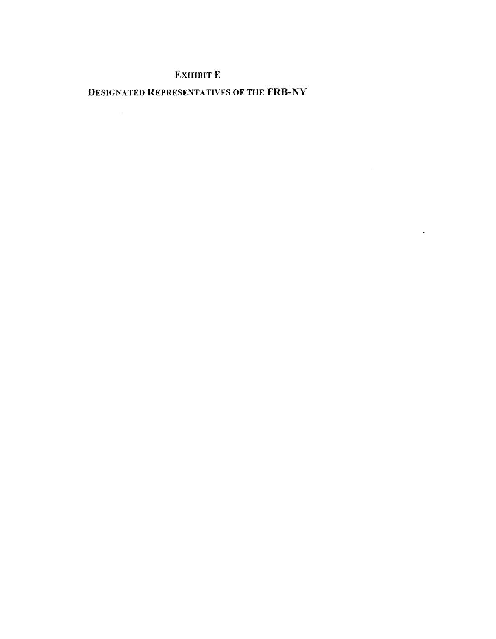# ExHIBIT E

DESIGNATED REPRESENTATIVES OF THE FRB-NY

 $\sim 10^{-11}$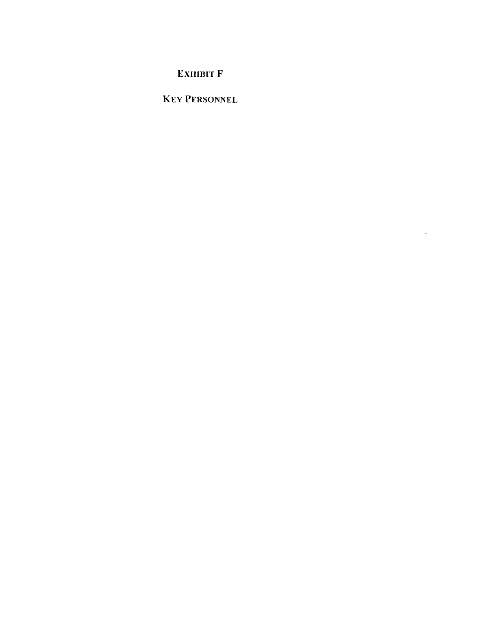EXHIBIT F

KEY PERSONNEL

 $\sim 10^{-10}$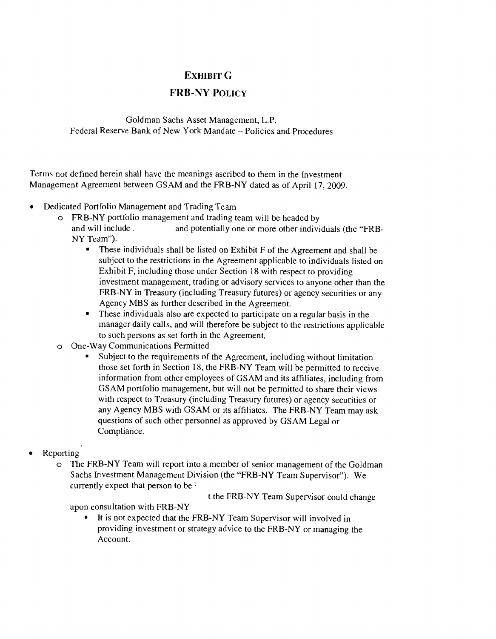# EXHIBIT G

# FRB-NY POLIcY

Goldman Sachs Asset Management, LP. Federal Reserve Bank of New York Mandate – Policies and Procedures

Terms not defined herein shall have the meanings ascribed to them in the Investment Management Agreement between GSAM and the FRB-NY dated as of April 17, 2009.

- Dedicated Portfolio Management and Trading Team
	- o FRB-NY portfolio management and trading team will be headed by and potentially one or more other individuals (the "FRB-NY Team").
		- $\blacksquare$ These individuals shall be listed on Exhibit F of the Agreement and shall be subject to the restrictions in the Agreement applicable to individuals listed on Exhibit F, including those under Section 18 with respect to providing investment management, trading or advisory services to anyone other than the FRB-NY in Treasury (including Treasury futures) or agency securities or any Agency MBS as further described in the Agreement.
		- These individuals also are expected to participate on a regular basis in the manager daily calls, and will therefore be subject to the restrictions applicable to such persons as set forth in the Agreement.
	- o One-Way Communications Permitted
		- Subject to the requirements of the Agreement, including without limitation those set forth in Section 18, the FRB-NY Team will be permitted to receive information from other employees of GSAM and its affiliates, including from GSAM portfolio management, but will not be permitted to share their views with respect to Treasury (including Treasury futures) or agency securities or any Agency MBS with GSAM or its affiliates. The FRB-NY Team may ask questions of such other personnel as approved by GSAM Legal or Compliance.
- Reporting
	- o The FRB-NY Team will report into a member of senior management of the Goldman Sachs Investment Management Division (the "FRB-NY Team Supervisor"). We currently expect that person to be

t the FRB-NY Team Supervisor could change

upon consultation with FRB-NY

It is not expected that the FRB-NY Team Supervisor will involved in providing investment or strategy advice to the FRB-NY or managing the Account.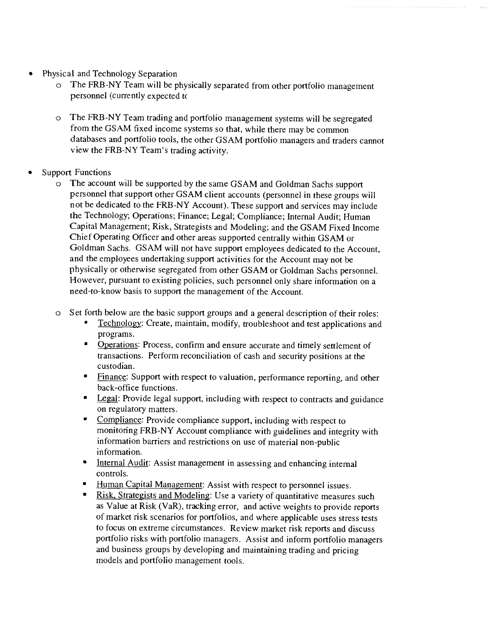- Physical and Technology Separation  $\bullet$ 
	- o The FRB-NY Team will be physically separated from other portfolio management personnel (currently expected to
	- o The FRB-NY Team trading and portfolio management systems will be segregated from the GSAM fixed income systems so that, while there may be common databases and portfolio tools, the other GSAM portfolio managers and traders cannot view the FRB-NY Team's trading activity.
- Support Functions
	- o The account will be supported by the same GSAM and Goldman Sachs support personnel that support other GSAM client accounts (personnel in these groups will not be dedicated to the FRB-NY Account). These support and services may include the Technology; Operations; Finance; Legal; Compliance; Internal Audit; Human Capital Management; Risk, Strategists and Modeling; and the GSAM Fixed Income Chief Operating Officer and other areas supported centrally within GSAM or Goldman Sachs, GSAM will not have support employees dedicated to the Account, and the employees undertaking support activities for the Account may not be physically or otherwise segregated from other GSAM or Goldman Sachs personnel. However, pursuant to existing policies, such personnel only share information on a need-to-know basis to support the management of the Account.
	- o Set forth below are the basic support groups and a general description of their roles:
		- Technology: Create, maintain, modify, troubleshoot and test applications and programs.
		- $\bullet$ Operations: Process, confirm and ensure accurate and timely settlement of transactions. Perform reconciliation of cash and security positions at the custodian.
		- $\bullet$ Finance: Support with respect to valuation, performance reporting, and other back-office functions.
		- Legal: Provide legal support, including with respect to contracts and guidance on regulatory matters.
		- Compliance: Provide compliance support, including with respect to monitoring FRB-NY Account compliance with guidelines and integrity with information barriers and restrictions on use of material non-public information.
		- $\blacksquare$ Internal Audit: Assist management in assessing and enhancing internal controls.
		- Human Capital Management: Assist with respect to personnel issues.  $\blacksquare$
		- Risk, Strategists and Modeling: Use a variety of quantitative measures such as Value at Risk (VaR), tracking error, and active weights to provide reports of market risk scenarios for portfolios, and where applicable uses stress tests to focus on extreme circumstances. Review market risk reports and discuss portfolio risks with portfolio managers. Assist and inform portfolio managers and business groups by developing and maintaining trading and pricing models and portfolio management tools.